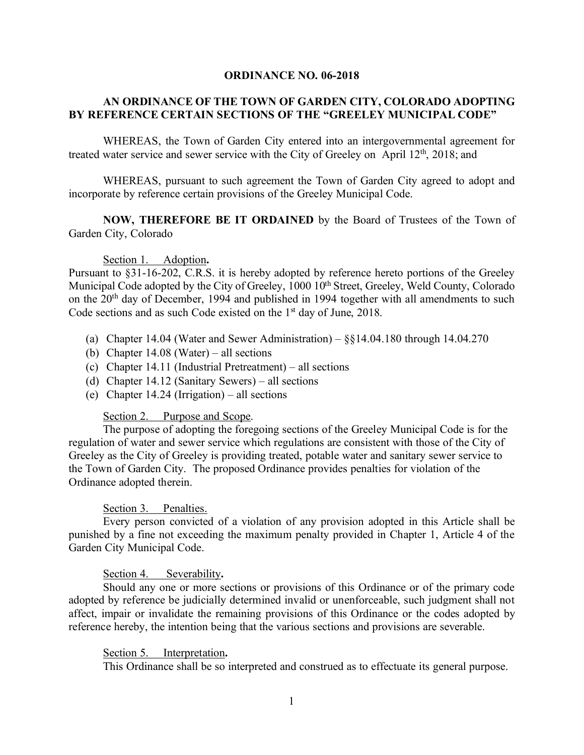#### **ORDINANCE NO. 06-2018**

## **AN ORDINANCE OF THE TOWN OF GARDEN CITY, COLORADO ADOPTING BY REFERENCE CERTAIN SECTIONS OF THE "GREELEY MUNICIPAL CODE"**

WHEREAS, the Town of Garden City entered into an intergovernmental agreement for treated water service and sewer service with the City of Greeley on April 12<sup>th</sup>, 2018; and

WHEREAS, pursuant to such agreement the Town of Garden City agreed to adopt and incorporate by reference certain provisions of the Greeley Municipal Code.

**NOW, THEREFORE BE IT ORDAINED** by the Board of Trustees of the Town of Garden City, Colorado

#### Section 1. Adoption**.**

Pursuant to §31-16-202, C.R.S. it is hereby adopted by reference hereto portions of the Greeley Municipal Code adopted by the City of Greeley, 1000 10<sup>th</sup> Street, Greeley, Weld County, Colorado on the 20<sup>th</sup> day of December, 1994 and published in 1994 together with all amendments to such Code sections and as such Code existed on the 1<sup>st</sup> day of June, 2018.

- (a) Chapter 14.04 (Water and Sewer Administration)  $\S$  $14.04.180$  through 14.04.270
- (b) Chapter 14.08 (Water) all sections
- (c) Chapter 14.11 (Industrial Pretreatment) all sections
- (d) Chapter 14.12 (Sanitary Sewers) all sections
- (e) Chapter 14.24 (Irrigation) all sections

#### Section 2. Purpose and Scope.

The purpose of adopting the foregoing sections of the Greeley Municipal Code is for the regulation of water and sewer service which regulations are consistent with those of the City of Greeley as the City of Greeley is providing treated, potable water and sanitary sewer service to the Town of Garden City. The proposed Ordinance provides penalties for violation of the Ordinance adopted therein.

## Section 3. Penalties.

Every person convicted of a violation of any provision adopted in this Article shall be punished by a fine not exceeding the maximum penalty provided in Chapter 1, Article 4 of the Garden City Municipal Code.

## Section 4. Severability**.**

Should any one or more sections or provisions of this Ordinance or of the primary code adopted by reference be judicially determined invalid or unenforceable, such judgment shall not affect, impair or invalidate the remaining provisions of this Ordinance or the codes adopted by reference hereby, the intention being that the various sections and provisions are severable.

## Section 5. Interpretation**.**

This Ordinance shall be so interpreted and construed as to effectuate its general purpose.